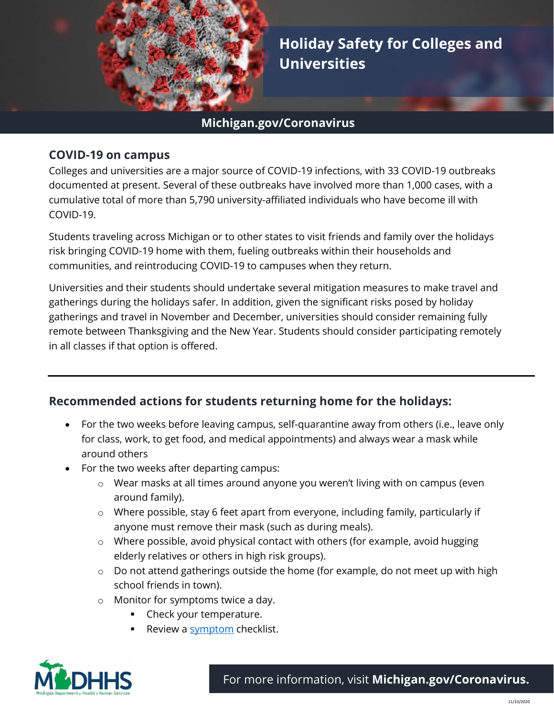

**Holiday Safety for Colleges and Universities**

### **Michigan.gov/Coronavirus**

#### **COVID-19 on campus**

Colleges and universities are a major source of COVID-19 infections, with 33 COVID-19 outbreaks documented at present. Several of these outbreaks have involved more than 1,000 cases, with a cumulative total of more than 5,790 university-affiliated individuals who have become ill with COVID-19.

Students traveling across Michigan or to other states to visit friends and family over the holidays risk bringing COVID-19 home with them, fueling outbreaks within their households and communities, and reintroducing COVID-19 to campuses when they return.

Universities and their students should undertake several mitigation measures to make travel and gatherings during the holidays safer. In addition, given the significant risks posed by holiday gatherings and travel in November and December, universities should consider remaining fully remote between Thanksgiving and the New Year. Students should consider participating remotely in all classes if that option is offered.

# **Recommended actions for students returning home for the holidays:**

- For the two weeks before leaving campus, self-quarantine away from others (i.e., leave only for class, work, to get food, and medical appointments) and always wear a mask while around others
- For the two weeks after departing campus:
	- $\circ$  Wear masks at all times around anyone you weren't living with on campus (even around family).
	- $\circ$  Where possible, stay 6 feet apart from everyone, including family, particularly if anyone must remove their mask (such as during meals).
	- o Where possible, avoid physical contact with others (for example, avoid hugging elderly relatives or others in high risk groups).
	- $\circ$  Do not attend gatherings outside the home (for example, do not meet up with high school friends in town).
	- o Monitor for symptoms twice a day.
		- Check your temperature.
		- Review a [symptom](https://www.cdc.gov/coronavirus/2019-ncov/symptoms-testing/symptoms.html) checklist.